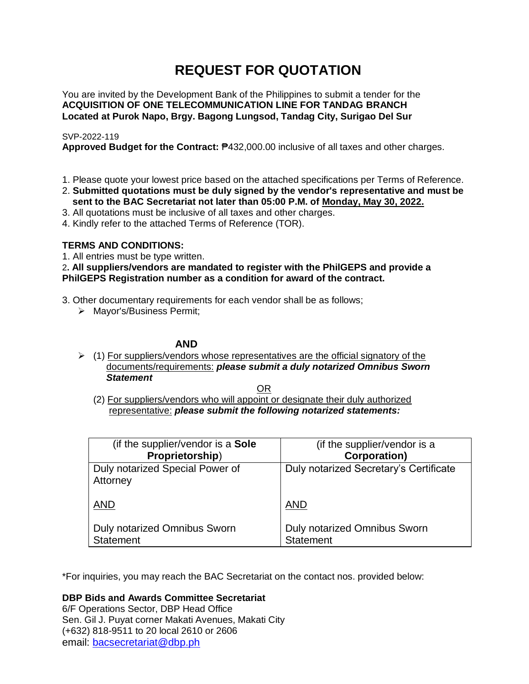# **REQUEST FOR QUOTATION**

You are invited by the Development Bank of the Philippines to submit a tender for the **ACQUISITION OF ONE TELECOMMUNICATION LINE FOR TANDAG BRANCH Located at Purok Napo, Brgy. Bagong Lungsod, Tandag City, Surigao Del Sur**

# SVP-2022-119

**Approved Budget for the Contract:** ₱432,000.00 inclusive of all taxes and other charges.

- 1. Please quote your lowest price based on the attached specifications per Terms of Reference.
- 2. **Submitted quotations must be duly signed by the vendor's representative and must be sent to the BAC Secretariat not later than 05:00 P.M. of Monday, May 30, 2022.**
- 3. All quotations must be inclusive of all taxes and other charges.
- 4. Kindly refer to the attached Terms of Reference (TOR).

# **TERMS AND CONDITIONS:**

1. All entries must be type written.

2**. All suppliers/vendors are mandated to register with the PhilGEPS and provide a PhilGEPS Registration number as a condition for award of the contract.**

- 3. Other documentary requirements for each vendor shall be as follows;
	- > Mayor's/Business Permit;

# **AND**

 $\geq$  (1) For suppliers/vendors whose representatives are the official signatory of the documents/requirements: *please submit a duly notarized Omnibus Sworn Statement*

<u>OR Starting and the Starting OR Starting</u>

(2) For suppliers/vendors who will appoint or designate their duly authorized representative: *please submit the following notarized statements:*

| (if the supplier/vendor is a Sole           | (if the supplier/vendor is a           |
|---------------------------------------------|----------------------------------------|
| Proprietorship)                             | <b>Corporation)</b>                    |
| Duly notarized Special Power of<br>Attorney | Duly notarized Secretary's Certificate |
| <b>AND</b>                                  | <b>AND</b>                             |
| Duly notarized Omnibus Sworn                | Duly notarized Omnibus Sworn           |
| <b>Statement</b>                            | <b>Statement</b>                       |

\*For inquiries, you may reach the BAC Secretariat on the contact nos. provided below:

**DBP Bids and Awards Committee Secretariat** 

6/F Operations Sector, DBP Head Office Sen. Gil J. Puyat corner Makati Avenues, Makati City (+632) 818-9511 to 20 local 2610 or 2606 email: [bacsecretariat@dbp.ph](mailto:bacsecretariat@dbp.ph)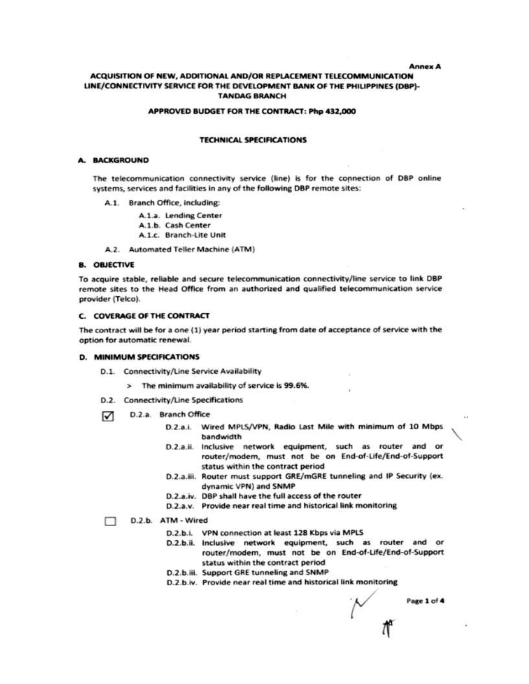**Annex A** 

## ACQUISITION OF NEW, ADDITIONAL AND/OR REPLACEMENT TELECOMMUNICATION LINE/CONNECTIVITY SERVICE FOR THE DEVELOPMENT BANK OF THE PHILIPPINES (DBP)-**TANDAG BRANCH**

#### APPROVED BUDGET FOR THE CONTRACT: Php 432,000

## **TECHNICAL SPECIFICATIONS**

### **A. BACKGROUND**

The telecommunication connectivity service (line) is for the connection of DBP online systems, services and facilities in any of the following DBP remote sites:

- A.1. Branch Office, including:
	- A.1.a. Lending Center
	- A.1.b. Cash Center
	- A.1.c. Branch-Lite Unit
- A.2. Automated Teller Machine (ATM)

#### **B. OBJECTIVE**

To acquire stable, reliable and secure telecommunication connectivity/line service to link DBP remote sites to the Head Office from an authorized and qualified telecommunication service provider (Telco).

## **C. COVERAGE OF THE CONTRACT**

The contract will be for a one (1) year period starting from date of acceptance of service with the option for automatic renewal.

## **D. MINIMUM SPECIFICATIONS**

- D.1. Connectivity/Line Service Availability
	- > The minimum availability of service is 99.6%.
- D.2. Connectivity/Line Specifications
- D.2.a. Branch Office ☑
	- D.2.a.i. Wired MPLS/VPN, Radio Last Mile with minimum of 10 Mbps handwidth
	- D.2.a.ii. Inclusive network equipment, such as router and or router/modem, must not be on End-of-Life/End-of-Support status within the contract period
	- D.2.a.iii. Router must support GRE/mGRE tunneling and IP Security (ex. dynamic VPN) and SNMP
	- D.2.a.iv. DBP shall have the full access of the router
	- D.2.a.v. Provide near real time and historical link monitoring

#### D.2.b. ATM - Wired

- D.2.b.i. VPN connection at least 128 Kbps via MPLS
- D.2.b.ii. Inclusive network equipment, such as router and or router/modem, must not be on End-of-Life/End-of-Support status within the contract period
- D.2.b.iii. Support GRE tunneling and SNMP
- D.2.b.iv. Provide near real time and historical link monitoring

Page 1 of 4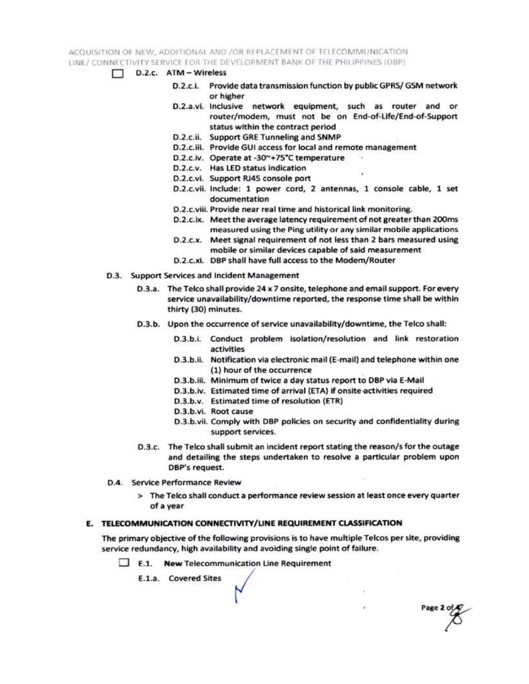ACQUISITION OF NEW, ADDITIONAL AND /OR REPLACEMENT OF TELECOMMUNICATION LINE / CONNECTIVITY SERVICE FOR THE DEVELOPMENT BANK OF THE PHILIPPINES (DBP)

- $\Box$  D.2.c.  $ATM Wireless$ 
	- D.2.c.i. Provide data transmission function by public GPRS/ GSM network or higher
	- D.2.a.vi. Inclusive network equipment, such as router and or router/modem, must not be on End-of-Life/End-of-Support status within the contract period
	- D.2.c.ii. Support GRE Tunneling and SNMP
	- D.2.c.iii. Provide GUI access for local and remote management
	- D.2.c.iv. Operate at -30~+75°C temperature
	- D.2.c.v. Has LED status indication
	- D.2.c.vi. Support RJ45 console port
	- D.2.c.vii. Include: 1 power cord, 2 antennas, 1 console cable, 1 set documentation
	- D.2.c.viii. Provide near real time and historical link monitoring.
	- D.2.c.ix. Meet the average latency requirement of not greater than 200ms measured using the Ping utility or any similar mobile applications
	- D.2.c.x. Meet signal requirement of not less than 2 bars measured using mobile or similar devices capable of said measurement
	- D.2.c.xi. DBP shall have full access to the Modem/Router
- D.3. Support Services and Incident Management
	- D.3.a. The Telco shall provide 24 x 7 onsite, telephone and email support. For every service unavailability/downtime reported, the response time shall be within thirty (30) minutes.
	- D.3.b. Upon the occurrence of service unavailability/downtime, the Telco shall:
		- D.3.b.i. Conduct problem isolation/resolution and link restoration activities
		- D.3.b.ii. Notification via electronic mail (E-mail) and telephone within one (1) hour of the occurrence
		- D.3.b.iii. Minimum of twice a day status report to DBP via E-Mail
		- D.3.b.iv. Estimated time of arrival (ETA) if onsite activities required
		- D.3.b.v. Estimated time of resolution (ETR)
		- D.3.b.vi. Root cause
		- D.3.b.vii. Comply with DBP policies on security and confidentiality during support services.

Page 2 of

- D.3.c. The Telco shall submit an incident report stating the reason/s for the outage and detailing the steps undertaken to resolve a particular problem upon DBP's request.
- D.4. Service Performance Review
	- > The Telco shall conduct a performance review session at least once every quarter of a year

## E. TELECOMMUNICATION CONNECTIVITY/LINE REQUIREMENT CLASSIFICATION

The primary objective of the following provisions is to have multiple Telcos per site, providing service redundancy, high availability and avoiding single point of failure.

 $\Box$  E.1. New Telecommunication Line Requirement

E.1.a. Covered Sites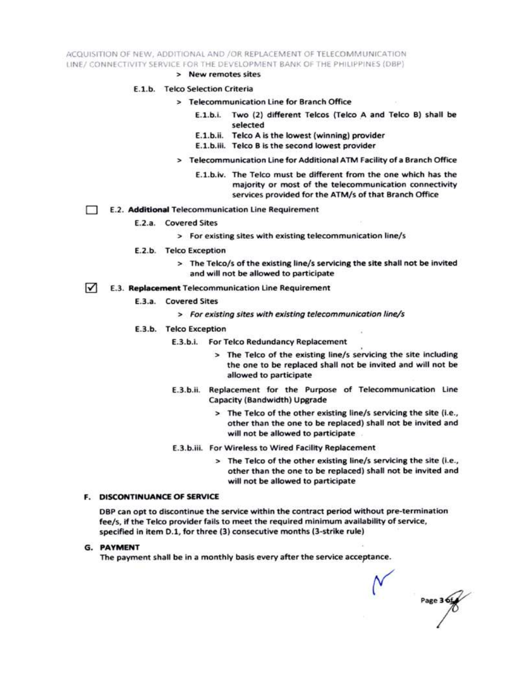ACQUISITION OF NEW, ADDITIONAL AND /OR REPLACEMENT OF TELECOMMUNICATION LINE/ CONNECTIVITY SERVICE FOR THE DEVELOPMENT BANK OF THE PHILIPPINES (DBP)

> New remotes sites

## E.1.b. Telco Selection Criteria

- > Telecommunication Line for Branch Office
	- E.1.b.i. Two (2) different Telcos (Telco A and Telco B) shall be selected
	- E.1.b.ii. Telco A is the lowest (winning) provider
	- E.1.b.iii. Telco B is the second lowest provider
- > Telecommunication Line for Additional ATM Facility of a Branch Office
	- E.1.b.iv. The Telco must be different from the one which has the majority or most of the telecommunication connectivity services provided for the ATM/s of that Branch Office
- E.2. Additional Telecommunication Line Requirement Ð
	- E.2.a. Covered Sites
		- > For existing sites with existing telecommunication line/s
	- E.2.b. Telco Exception
		- > The Telco/s of the existing line/s servicing the site shall not be invited and will not be allowed to participate
- $\sqrt{ }$ E.3. Replacement Telecommunication Line Requirement
	- E.3.a. Covered Sites
		- > For existing sites with existing telecommunication line/s
	- E.3.b. Telco Exception
		- E.3.b.i. For Telco Redundancy Replacement
			- > The Telco of the existing line/s servicing the site including the one to be replaced shall not be invited and will not be allowed to participate
		- E.3.b.ii. Replacement for the Purpose of Telecommunication Line Capacity (Bandwidth) Upgrade
			- > The Telco of the other existing line/s servicing the site (i.e., other than the one to be replaced) shall not be invited and will not be allowed to participate
		- E.3.b.iii. For Wireless to Wired Facility Replacement
			- > The Telco of the other existing line/s servicing the site (i.e., other than the one to be replaced) shall not be invited and will not be allowed to participate

## **F. DISCONTINUANCE OF SERVICE**

DBP can opt to discontinue the service within the contract period without pre-termination fee/s, if the Telco provider fails to meet the required minimum availability of service, specified in item D.1, for three (3) consecutive months (3-strike rule)

**G. PAYMENT** 

The payment shall be in a monthly basis every after the service acceptance.

Page 3 6t